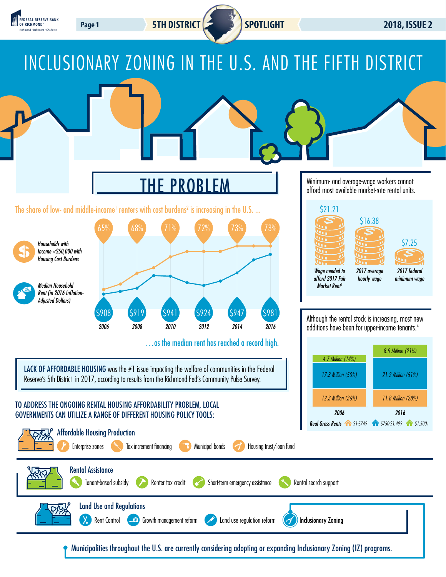

LACK OF AFFORDABLE HOUSING was the #1 issue impacting the welfare of communities in the Federal Reserve's 5th District in 2017, according to results from the Richmond Fed's Community Pulse Survey.

### TO ADDRESS THE ONGOING RENTAL HOUSING AFFORDABILITY PROBLEM, LOCAL GOVERNMENTS CAN UTILIZE A RANGE OF DIFFERENT HOUSING POLICY TOOLS:



*2006*

*17.3 Million (50%)*

*2016*

*21.2 Million (51%)*

*12.3 Million (36%) 11.8 Million (28%)*

Municipalities throughout the U.S. are currently considering adopting or expanding Inclusionary Zoning (IZ) programs.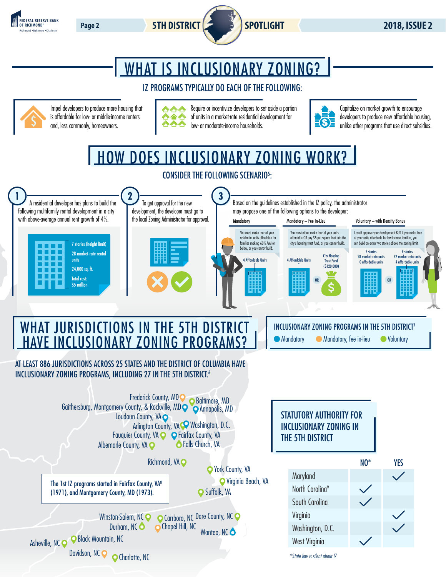



# WHAT IS INCLUSIONARY ZONING?

## IZ PROGRAMS TYPICALLY DO EACH OF THE FOLLOWING:



Impel developers to produce more housing that is affordable for low- or middle-income renters and, less commonly, homeowners.



Require or incentivize developers to set aside a portion of units in a market-rate residential development for low- or moderate-income households.



Capitalize on market growth to encourage developers to produce new affordable housing, unlike other programs that use direct subsidies.

HOW DOES INCLUSIONARY ZONING WORK?



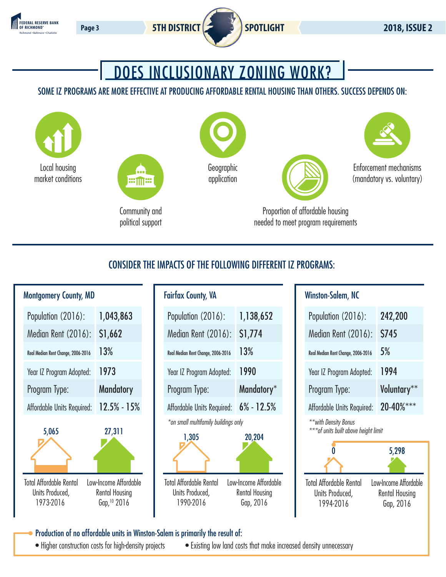



## DOES INCLUSIONARY ZONING WORK?

## SOME IZ PROGRAMS ARE MORE EFFECTIVE AT PRODUCING AFFORDABLE RENTAL HOUSING THAN OTHERS. SUCCESS DEPENDS ON:



## CONSIDER THE IMPACTS OF THE FOLLOWING DIFFERENT IZ PROGRAMS:



| omery County, MD                          |                                                                |                                                                | <b>Fairfax County, VA</b>                                   |  | <b>Winston-Salem, NC</b>                                       |                         |
|-------------------------------------------|----------------------------------------------------------------|----------------------------------------------------------------|-------------------------------------------------------------|--|----------------------------------------------------------------|-------------------------|
| ation (2016):                             | 1,043,863                                                      | Population (2016):                                             | 1,138,652                                                   |  | Population (2016):                                             | $\overline{2}$          |
| an Rent (2016):                           | \$1,662                                                        | Median Rent (2016):                                            | \$1,774                                                     |  | Median Rent (2016):                                            | S                       |
| ian Rent Change, 2006-2016                | 13%                                                            | Real Median Rent Change, 2006-2016                             | 13%                                                         |  | Real Median Rent Change, 2006-2016                             | 5                       |
| Z Program Adopted:                        | 1973                                                           | Year IZ Program Adopted:                                       | 1990                                                        |  | Year IZ Program Adopted:                                       | 1                       |
| am Type:                                  | <b>Mandatory</b>                                               | Program Type:                                                  | Mandatory*                                                  |  | Program Type:                                                  | V                       |
| able Units Required:                      | $12.5% - 15%$                                                  | Affordable Units Required:                                     | $6\% - 12.5\%$                                              |  | Affordable Units Required:                                     | $\overline{\mathbf{2}}$ |
| 5,065                                     | 27,311                                                         | *on small multifamily buildings only<br>1,305                  | 20,204                                                      |  | ** with Density Bonus<br>*** of units built above height limit |                         |
| fordable Rental<br>s Produced,<br>73-2016 | Low-Income Affordable<br><b>Rental Housing</b><br>Gap, 10 2016 | <b>Total Affordable Rental</b><br>Units Produced,<br>1990-2016 | Low-Income Affordable<br><b>Rental Housing</b><br>Gap, 2016 |  | <b>Total Affordable Rental</b><br>Units Produced,<br>1994-2016 | Low-I<br>Re             |

## Winston-Salem, NC

| Population (2016):                 | 242,200        |  |  |
|------------------------------------|----------------|--|--|
| Median Rent (2016):                | <b>\$745</b>   |  |  |
| Real Median Rent Change, 2006-2016 | 5%             |  |  |
| Year IZ Program Adopted:           | 1994           |  |  |
| Program Type:                      | Voluntary**    |  |  |
| Affordable Units Required:         | $20 - 40\%***$ |  |  |



Production of no affordable units in Winston-Salem is primarily the result of:

• Higher construction costs for high-density projects • Existing low land costs that make increased density unnecessary